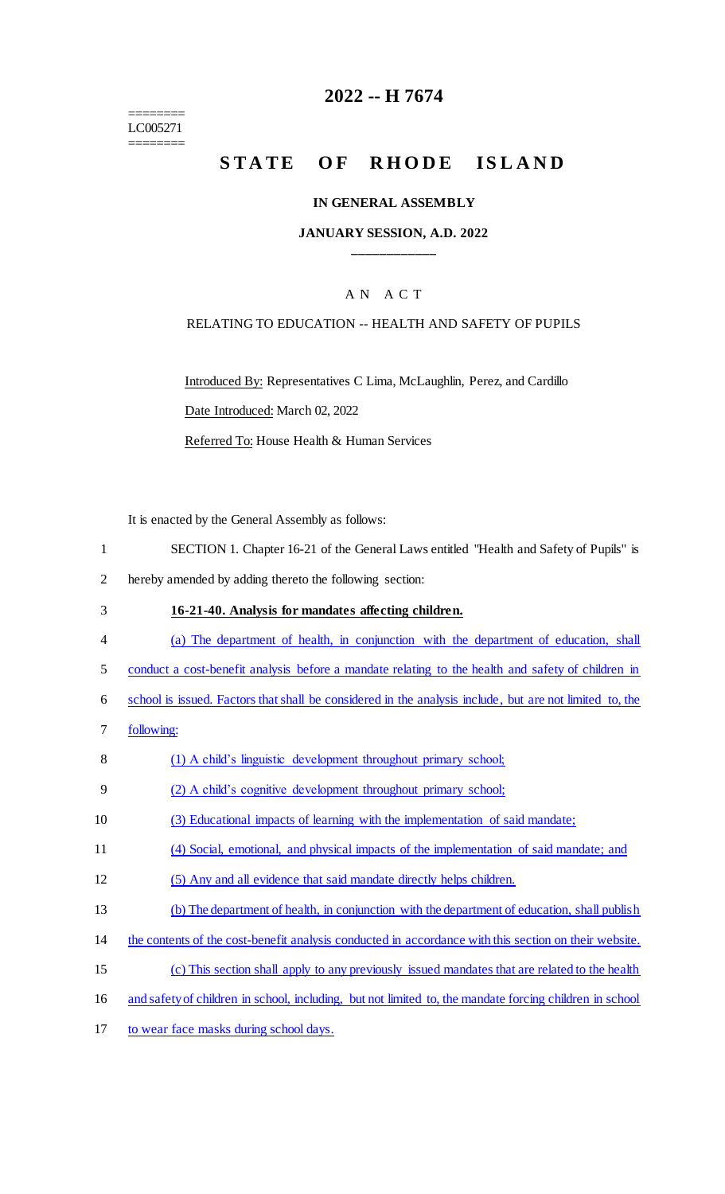======== LC005271 ========

## **2022 -- H 7674**

# **STATE OF RHODE ISLAND**

#### **IN GENERAL ASSEMBLY**

#### **JANUARY SESSION, A.D. 2022 \_\_\_\_\_\_\_\_\_\_\_\_**

#### A N A C T

#### RELATING TO EDUCATION -- HEALTH AND SAFETY OF PUPILS

Introduced By: Representatives C Lima, McLaughlin, Perez, and Cardillo Date Introduced: March 02, 2022

Referred To: House Health & Human Services

It is enacted by the General Assembly as follows:

- 1 SECTION 1. Chapter 16-21 of the General Laws entitled "Health and Safety of Pupils" is
- 2 hereby amended by adding thereto the following section:
- 3 **16-21-40. Analysis for mandates affecting children.**  4 (a) The department of health, in conjunction with the department of education, shall 5 conduct a cost-benefit analysis before a mandate relating to the health and safety of children in 6 school is issued. Factors that shall be considered in the analysis include, but are not limited to, the 7 following: 8 (1) A child's linguistic development throughout primary school; 9 (2) A child's cognitive development throughout primary school; 10 (3) Educational impacts of learning with the implementation of said mandate; 11 (4) Social, emotional, and physical impacts of the implementation of said mandate; and 12 (5) Any and all evidence that said mandate directly helps children.
- 13 (b) The department of health, in conjunction with the department of education, shall publish
- 14 the contents of the cost-benefit analysis conducted in accordance with this section on their website.
- 15 (c) This section shall apply to any previously issued mandates that are related to the health
- 16 and safety of children in school, including, but not limited to, the mandate forcing children in school
- 17 to wear face masks during school days.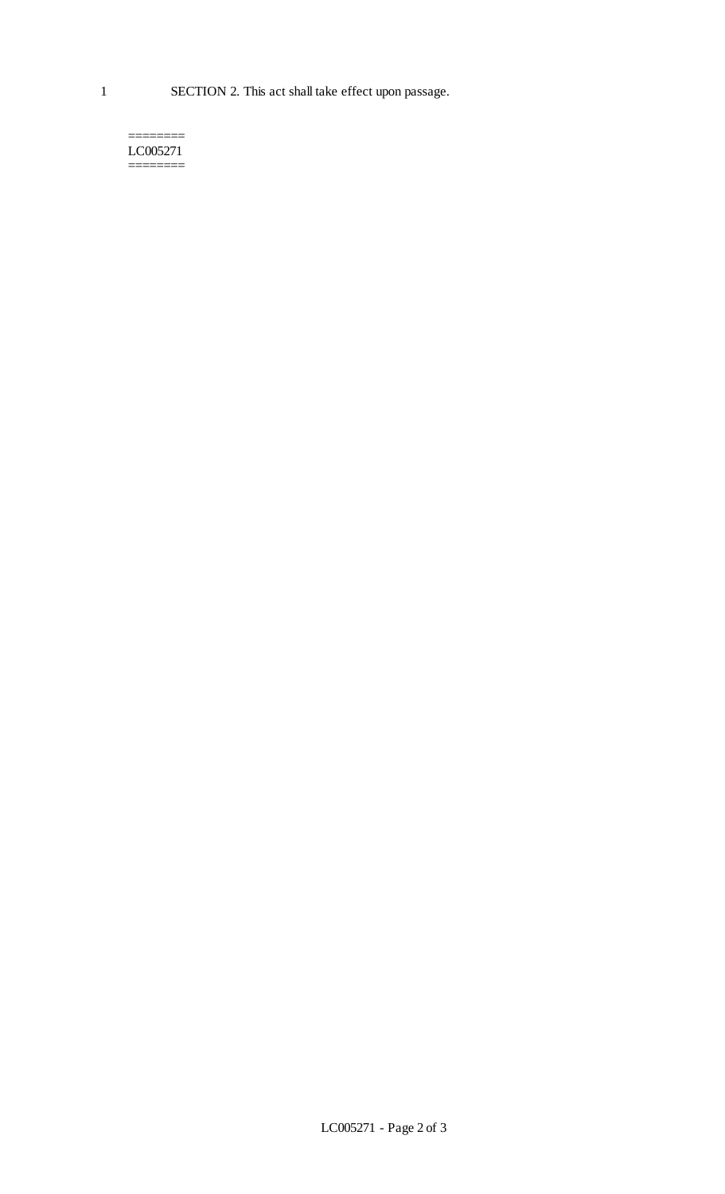======== LC005271 ========